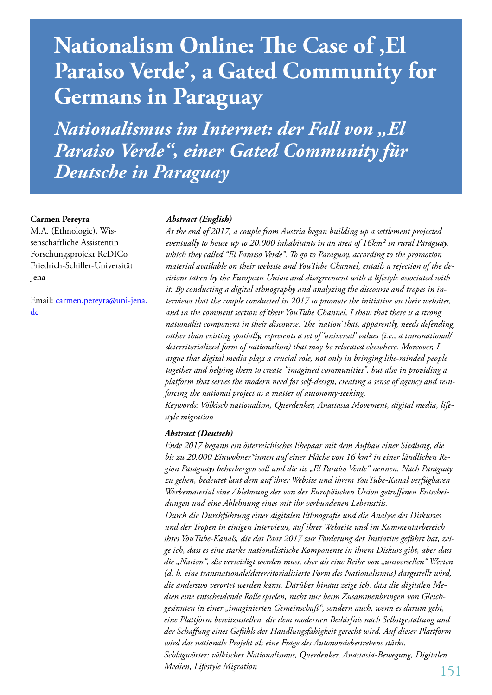# **Nationalism Online: The Case of , El Paraiso Verde', a Gated Community for Germans in Paraguay**

*Nationalismus im Internet: der Fall von "El Paraiso Verde", einer Gated Community für Deutsche in Paraguay*

#### **Carmen Pereyra**

M.A. (Ethnologie), Wissenschaftliche Assistentin Forschungsprojekt ReDICo Friedrich-Schiller-Universität Jena

Email: carmen.pereyra@uni-jena. de

#### *Abstract (English)*

*At the end of 2017, a couple from Austria began building up a settlement projected eventually to house up to 20,000 inhabitants in an area of 16km² in rural Paraguay, which they called "El Paraíso Verde". To go to Paraguay, according to the promotion material available on their website and YouTube Channel, entails a rejection of the decisions taken by the European Union and disagreement with a lifestyle associated with it. By conducting a digital ethnography and analyzing the discourse and tropes in interviews that the couple conducted in 2017 to promote the initiative on their websites, and in the comment section of their YouTube Channel, I show that there is a strong nationalist component in their discourse. The 'nation' that, apparently, needs defending, rather than existing spatially, represents a set of 'universal' values (i.e., a transnational/ deterritorialized form of nationalism) that may be relocated elsewhere. Moreover, I argue that digital media plays a crucial role, not only in bringing like-minded people together and helping them to create "imagined communities", but also in providing a platform that serves the modern need for self-design, creating a sense of agency and reinforcing the national project as a matter of autonomy-seeking.*

*Keywords: Völkisch nationalism, Querdenker, Anastasia Movement, digital media, lifestyle migration*

#### *Abstract (Deutsch)*

*Ende 2017 begann ein österreichisches Ehepaar mit dem Aufbau einer Siedlung, die bis zu 20.000 Einwohner\*innen auf einer Fläche von 16 km² in einer ländlichen Region Paraguays beherbergen soll und die sie "El Paraíso Verde" nennen. Nach Paraguay zu gehen, bedeutet laut dem auf ihrer Website und ihrem YouTube-Kanal verfügbaren Werbematerial eine Ablehnung der von der Europäischen Union getroffenen Entscheidungen und eine Ablehnung eines mit ihr verbundenen Lebensstils. Durch die Durchführung einer digitalen Ethnografie und die Analyse des Diskurses und der Tropen in einigen Interviews, auf ihrer Webseite und im Kommentarbereich ihres YouTube-Kanals, die das Paar 2017 zur Förderung der Initiative geführt hat, zeige ich, dass es eine starke nationalistische Komponente in ihrem Diskurs gibt, aber dass die "Nation", die verteidigt werden muss, eher als eine Reihe von "universellen" Werten (d. h. eine transnationale/deterritorialisierte Form des Nationalismus) dargestellt wird, die anderswo verortet werden kann. Darüber hinaus zeige ich, dass die digitalen Medien eine entscheidende Rolle spielen, nicht nur beim Zusammenbringen von Gleichgesinnten in einer "imaginierten Gemeinschaft", sondern auch, wenn es darum geht, eine Plattform bereitzustellen, die dem modernen Bedürfnis nach Selbstgestaltung und der Schaffung eines Gefühls der Handlungsfähigkeit gerecht wird. Auf dieser Plattform wird das nationale Projekt als eine Frage des Autonomiebestrebens stärkt. Schlagwörter: völkischer Nationalismus, Querdenker, Anastasia-Bewegung, Digitalen Medien, Lifestyle Migration*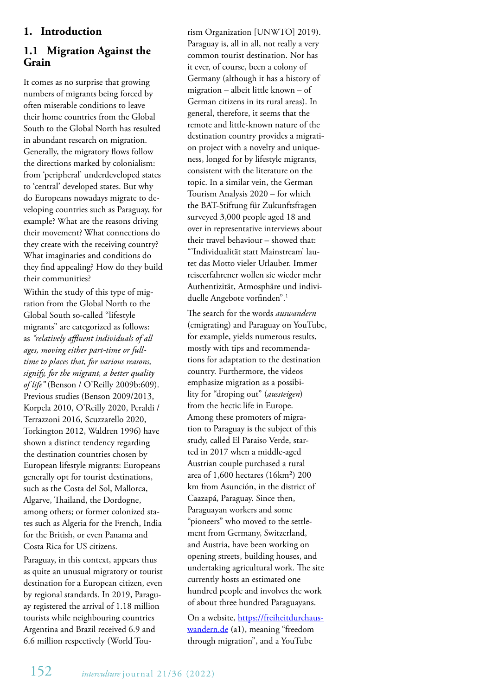# **1. Introduction**

## **1.1 Migration Against the Grain**

It comes as no surprise that growing numbers of migrants being forced by often miserable conditions to leave their home countries from the Global South to the Global North has resulted in abundant research on migration. Generally, the migratory flows follow the directions marked by colonialism: from 'peripheral' underdeveloped states to 'central' developed states. But why do Europeans nowadays migrate to developing countries such as Paraguay, for example? What are the reasons driving their movement? What connections do they create with the receiving country? What imaginaries and conditions do they find appealing? How do they build their communities?

Within the study of this type of migration from the Global North to the Global South so-called "lifestyle migrants" are categorized as follows: as *"relatively affluent individuals of all ages, moving either part-time or fulltime to places that, for various reasons, signify, for the migrant, a better quality of life"* (Benson / O'Reilly 2009b:609). Previous studies (Benson 2009/2013, Korpela 2010, O'Reilly 2020, Peraldi / Terrazzoni 2016, Scuzzarello 2020, Torkington 2012, Waldren 1996) have shown a distinct tendency regarding the destination countries chosen by European lifestyle migrants: Europeans generally opt for tourist destinations, such as the Costa del Sol, Mallorca, Algarve, Thailand, the Dordogne, among others; or former colonized states such as Algeria for the French, India for the British, or even Panama and Costa Rica for US citizens.

Paraguay, in this context, appears thus as quite an unusual migratory or tourist destination for a European citizen, even by regional standards. In 2019, Paraguay registered the arrival of 1.18 million tourists while neighbouring countries Argentina and Brazil received 6.9 and 6.6 million respectively (World Tourism Organization [UNWTO] 2019). Paraguay is, all in all, not really a very common tourist destination. Nor has it ever, of course, been a colony of Germany (although it has a history of migration – albeit little known – of German citizens in its rural areas). In general, therefore, it seems that the remote and little-known nature of the destination country provides a migration project with a novelty and uniqueness, longed for by lifestyle migrants, consistent with the literature on the topic. In a similar vein, the German Tourism Analysis 2020 – for which the BAT-Stiftung für Zukunftsfragen surveyed 3,000 people aged 18 and over in representative interviews about their travel behaviour – showed that: "'Individualität statt Mainstream' lautet das Motto vieler Urlauber. Immer reiseerfahrener wollen sie wieder mehr Authentizität, Atmosphäre und individuelle Angebote vorfinden".1

The search for the words *auswandern* (emigrating) and Paraguay on YouTube, for example, yields numerous results, mostly with tips and recommendations for adaptation to the destination country. Furthermore, the videos emphasize migration as a possibility for "droping out" (*aussteigen*) from the hectic life in Europe. Among these promoters of migration to Paraguay is the subject of this study, called El Paraiso Verde, started in 2017 when a middle-aged Austrian couple purchased a rural area of 1,600 hectares (16km²) 200 km from Asunción, in the district of Caazapá, Paraguay. Since then, Paraguayan workers and some "pioneers" who moved to the settlement from Germany, Switzerland, and Austria, have been working on opening streets, building houses, and undertaking agricultural work. The site currently hosts an estimated one hundred people and involves the work of about three hundred Paraguayans.

On a website, https://freiheitdurchauswandern.de (a1), meaning "freedom through migration", and a YouTube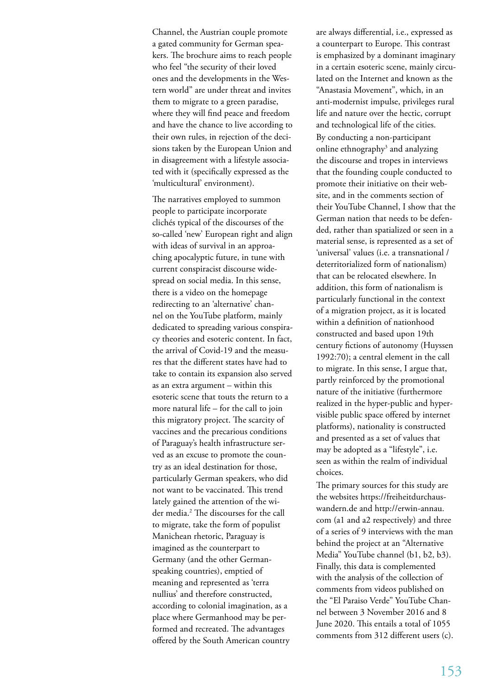Channel, the Austrian couple promote a gated community for German speakers. The brochure aims to reach people who feel "the security of their loved ones and the developments in the Western world" are under threat and invites them to migrate to a green paradise, where they will find peace and freedom and have the chance to live according to their own rules, in rejection of the decisions taken by the European Union and in disagreement with a lifestyle associated with it (specifically expressed as the 'multicultural' environment).

The narratives employed to summon people to participate incorporate clichés typical of the discourses of the so-called 'new' European right and align with ideas of survival in an approaching apocalyptic future, in tune with current conspiracist discourse widespread on social media. In this sense, there is a video on the homepage redirecting to an 'alternative' channel on the YouTube platform, mainly dedicated to spreading various conspiracy theories and esoteric content. In fact, the arrival of Covid-19 and the measures that the different states have had to take to contain its expansion also served as an extra argument – within this esoteric scene that touts the return to a more natural life – for the call to join this migratory project. The scarcity of vaccines and the precarious conditions of Paraguay's health infrastructure served as an excuse to promote the country as an ideal destination for those, particularly German speakers, who did not want to be vaccinated. This trend lately gained the attention of the wider media.<sup>2</sup> The discourses for the call to migrate, take the form of populist Manichean rhetoric, Paraguay is imagined as the counterpart to Germany (and the other Germanspeaking countries), emptied of meaning and represented as 'terra nullius' and therefore constructed, according to colonial imagination, as a place where Germanhood may be performed and recreated. The advantages offered by the South American country

are always differential, i.e., expressed as a counterpart to Europe. This contrast is emphasized by a dominant imaginary in a certain esoteric scene, mainly circulated on the Internet and known as the "Anastasia Movement", which, in an anti-modernist impulse, privileges rural life and nature over the hectic, corrupt and technological life of the cities. By conducting a non-participant online ethnography<sup>3</sup> and analyzing the discourse and tropes in interviews that the founding couple conducted to promote their initiative on their website, and in the comments section of their YouTube Channel, I show that the German nation that needs to be defended, rather than spatialized or seen in a material sense, is represented as a set of 'universal' values (i.e. a transnational / deterritorialized form of nationalism) that can be relocated elsewhere. In addition, this form of nationalism is particularly functional in the context of a migration project, as it is located within a definition of nationhood constructed and based upon 19th century fictions of autonomy (Huyssen 1992:70); a central element in the call to migrate. In this sense, I argue that, partly reinforced by the promotional nature of the initiative (furthermore realized in the hyper-public and hypervisible public space offered by internet platforms), nationality is constructed and presented as a set of values that may be adopted as a "lifestyle", i.e. seen as within the realm of individual choices.

The primary sources for this study are the websites https://freiheitdurchauswandern.de and http://erwin-annau. com (a1 and a2 respectively) and three of a series of 9 interviews with the man behind the project at an "Alternative Media" YouTube channel (b1, b2, b3). Finally, this data is complemented with the analysis of the collection of comments from videos published on the "El Paraiso Verde" YouTube Channel between 3 November 2016 and 8 June 2020. This entails a total of 1055 comments from 312 different users (c).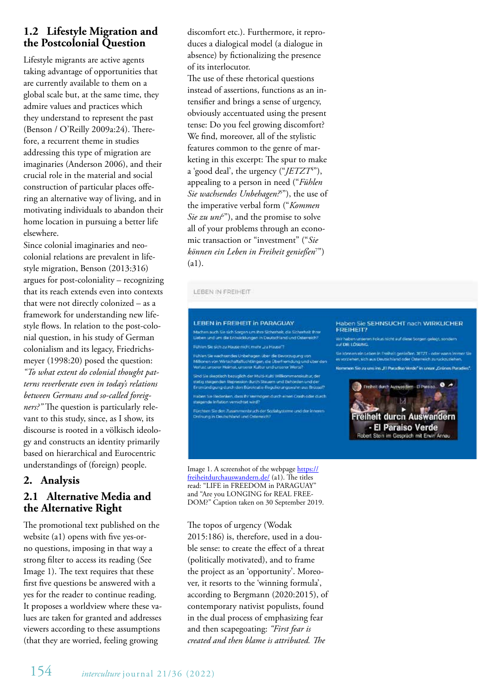# **1.2 Lifestyle Migration and the Postcolonial Question**

Lifestyle migrants are active agents taking advantage of opportunities that are currently available to them on a global scale but, at the same time, they admire values and practices which they understand to represent the past (Benson / O'Reilly 2009a:24). Therefore, a recurrent theme in studies addressing this type of migration are imaginaries (Anderson 2006), and their crucial role in the material and social construction of particular places offering an alternative way of living, and in motivating individuals to abandon their home location in pursuing a better life elsewhere.

Since colonial imaginaries and neocolonial relations are prevalent in lifestyle migration, Benson (2013:316) argues for post-coloniality – recognizing that its reach extends even into contexts that were not directly colonized – as a framework for understanding new lifestyle flows. In relation to the post-colonial question, in his study of German colonialism and its legacy, Friedrichsmeyer (1998:20) posed the question: *"To what extent do colonial thought patterns reverberate even in today's relations between Germans and so-called foreigners?"* The question is particularly relevant to this study, since, as I show, its discourse is rooted in a völkisch ideology and constructs an identity primarily based on hierarchical and Eurocentric understandings of (foreign) people.

# **2. Analysis**

# **2.1 Alternative Media and the Alternative Right**

The promotional text published on the website (a1) opens with five yes-orno questions, imposing in that way a strong filter to access its reading (See Image 1). The text requires that these first five questions be answered with a yes for the reader to continue reading. It proposes a worldview where these values are taken for granted and addresses viewers according to these assumptions (that they are worried, feeling growing

discomfort etc.). Furthermore, it reproduces a dialogical model (a dialogue in absence) by fictionalizing the presence of its interlocutor.

The use of these rhetorical questions instead of assertions, functions as an intensifier and brings a sense of urgency, obviously accentuated using the present tense: Do you feel growing discomfort? We find, moreover, all of the stylistic features common to the genre of marketing in this excerpt: The spur to make a 'good deal', the urgency ("*JETZT*<sup>4</sup>"), appealing to a person in need ("*Fühlen Sie wachsendes Unbehagen?*<sup>5</sup> "), the use of the imperative verbal form ("*Kommen Sie zu uns*<sup>6"</sup>), and the promise to solve all of your problems through an economic transaction or "investment" ("*Sie können ein Leben in Freiheit genießen*<sup>7</sup> ") (a1).

#### LEBEN IN FREIHEIT

#### LEBEN in EREIHEIT in PARAGUAY

.<br>Machen auch Sie sich Sorgen um ihm Sicherheit, die Sicherheit ihrer<br>Lieben und um die Entwicklungen in Deutschland und Osterreich? Fuhlim Sie sich zu Hause nicht mehr "zu Hause"?

Fühlen Sie wachsendes Unbehagen über die Bevorzugung von<br>Millonen von Wirtschaltsflüchtlingen, die Überfremdung und über den<br>Vorlust unserer Heimat, umerer Kaltur und unserer Werte<sup>n</sup>

Sind Sie skeptisch bezuglich der Multi-Kulti Willkommenskultur, der statig steigenden Repression durch Steuern und Behörden und der<br>Entmündigung durch den Bürokratie-Regulierungswahn aus Brützel? .<br>Haben Sie Bedenken, dass ihr Wernogen durch einen Crash oder durch<br>Istelgende Inflation vernichtet wird?

.<br>Fürchten Sie den Zusammenbruch der Sozialsgaterne und der Interrett<br>Defnung in Deutschland und Osterreich?

Image 1. A screenshot of the webpage https:// freiheitdurchauswandern.de/ (a1). The titles read: "LIFE in FREEDOM in PARAGUAY" and "Are you LONGING for REAL FREE-DOM?" Caption taken on 30 September 2019.

The topos of urgency (Wodak 2015:186) is, therefore, used in a double sense: to create the effect of a threat (politically motivated), and to frame the project as an 'opportunity'. Moreover, it resorts to the 'winning formula', according to Bergmann (2020:2015), of contemporary nativist populists, found in the dual process of emphasizing fear and then scapegoating: *"First fear is created and then blame is attributed. The* 

#### Haben Sie SEHNSUCHT nach WIRKLICHER **FREIHEIT?**

Wir haben unseren Fokus nicht auf diese tiorgen gelegt, sondern<br>auf DIE LÖSUNG.

.<br>Sie können ein Leben in Freiheit genießen JETZT - oder wann Immer Sie<br>es vorzeihen, sich aus Deutschland oder Österreich zurückzuziehen. Kommen Sie zu uns ins "El Paradiso Verde" in unser "Grünes Paradies"

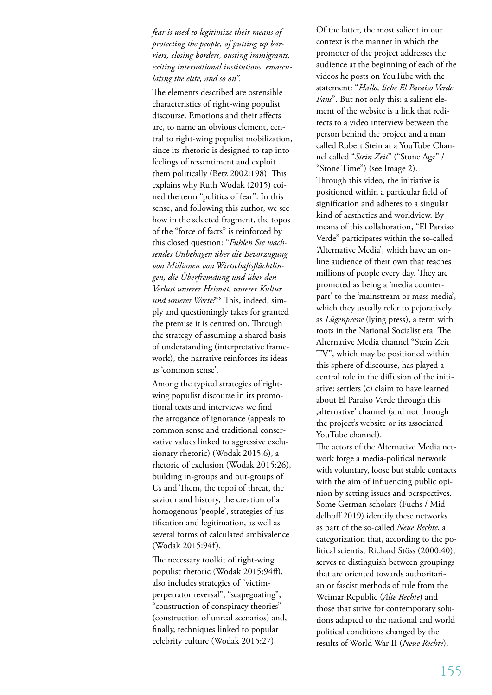*fear is used to legitimize their means of protecting the people, of putting up barriers, closing borders, ousting immigrants, exiting international institutions, emasculating the elite, and so on".*

The elements described are ostensible characteristics of right-wing populist discourse. Emotions and their affects are, to name an obvious element, central to right-wing populist mobilization, since its rhetoric is designed to tap into feelings of ressentiment and exploit them politically (Betz 2002:198). This explains why Ruth Wodak (2015) coined the term "politics of fear". In this sense, and following this author, we see how in the selected fragment, the topos of the "force of facts" is reinforced by this closed question: "*Fühlen Sie wachsendes Unbehagen über die Bevorzugung von Millionen von Wirtschaftsflüchtlingen, die Überfremdung und über den Verlust unserer Heimat, unserer Kultur und unserer Werte?*"8 This, indeed, simply and questioningly takes for granted the premise it is centred on. Through the strategy of assuming a shared basis of understanding (interpretative framework), the narrative reinforces its ideas as 'common sense'.

Among the typical strategies of rightwing populist discourse in its promotional texts and interviews we find the arrogance of ignorance (appeals to common sense and traditional conservative values linked to aggressive exclusionary rhetoric) (Wodak 2015:6), a rhetoric of exclusion (Wodak 2015:26), building in-groups and out-groups of Us and Them, the topoi of threat, the saviour and history, the creation of a homogenous 'people', strategies of justification and legitimation, as well as several forms of calculated ambivalence (Wodak 2015:94f).

The necessary toolkit of right-wing populist rhetoric (Wodak 2015:94ff), also includes strategies of "victimperpetrator reversal", "scapegoating", "construction of conspiracy theories" (construction of unreal scenarios) and, finally, techniques linked to popular celebrity culture (Wodak 2015:27).

Of the latter, the most salient in our context is the manner in which the promoter of the project addresses the audience at the beginning of each of the videos he posts on YouTube with the statement: "*Hallo, liebe El Paraiso Verde Fans*". But not only this: a salient element of the website is a link that redirects to a video interview between the person behind the project and a man called Robert Stein at a YouTube Channel called "*Stein Zeit*" ("Stone Age" / "Stone Time") (see Image 2). Through this video, the initiative is positioned within a particular field of signification and adheres to a singular kind of aesthetics and worldview. By means of this collaboration, "El Paraiso Verde" participates within the so-called 'Alternative Media', which have an online audience of their own that reaches millions of people every day. They are promoted as being a 'media counterpart' to the 'mainstream or mass media', which they usually refer to pejoratively as *Lügenpresse* (lying press), a term with roots in the National Socialist era. The Alternative Media channel "Stein Zeit TV", which may be positioned within this sphere of discourse, has played a central role in the diffusion of the initiative: settlers (c) claim to have learned about El Paraiso Verde through this 'alternative' channel (and not through the project's website or its associated YouTube channel).

The actors of the Alternative Media network forge a media-political network with voluntary, loose but stable contacts with the aim of influencing public opinion by setting issues and perspectives. Some German scholars (Fuchs / Middelhoff 2019) identify these networks as part of the so-called *Neue Rechte*, a categorization that, according to the political scientist Richard Stöss (2000:40), serves to distinguish between groupings that are oriented towards authoritarian or fascist methods of rule from the Weimar Republic (*Alte Rechte*) and those that strive for contemporary solutions adapted to the national and world political conditions changed by the results of World War II (*Neue Rechte*).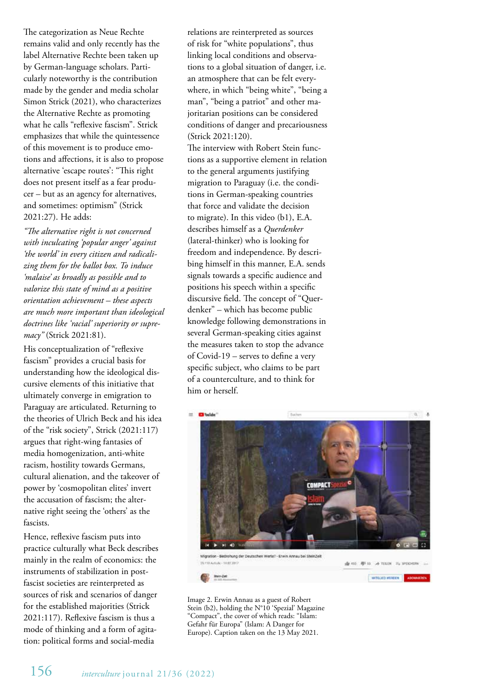The categorization as Neue Rechte remains valid and only recently has the label Alternative Rechte been taken up by German-language scholars. Particularly noteworthy is the contribution made by the gender and media scholar Simon Strick (2021), who characterizes the Alternative Rechte as promoting what he calls "reflexive fascism". Strick emphasizes that while the quintessence of this movement is to produce emotions and affections, it is also to propose alternative 'escape routes': "This right does not present itself as a fear producer – but as an agency for alternatives, and sometimes: optimism" (Strick 2021:27). He adds:

*"The alternative right is not concerned with inculcating 'popular anger' against 'the world' in every citizen and radicalizing them for the ballot box. To induce 'malaise' as broadly as possible and to valorize this state of mind as a positive orientation achievement – these aspects are much more important than ideological doctrines like 'racial' superiority or supremacy"* (Strick 2021:81).

His conceptualization of "reflexive fascism" provides a crucial basis for understanding how the ideological discursive elements of this initiative that ultimately converge in emigration to Paraguay are articulated. Returning to the theories of Ulrich Beck and his idea of the "risk society", Strick (2021:117) argues that right-wing fantasies of media homogenization, anti-white racism, hostility towards Germans, cultural alienation, and the takeover of power by 'cosmopolitan elites' invert the accusation of fascism; the alternative right seeing the 'others' as the fascists.

Hence, reflexive fascism puts into practice culturally what Beck describes mainly in the realm of economics: the instruments of stabilization in postfascist societies are reinterpreted as sources of risk and scenarios of danger for the established majorities (Strick 2021:117). Reflexive fascism is thus a mode of thinking and a form of agitation: political forms and social-media

relations are reinterpreted as sources of risk for "white populations", thus linking local conditions and observations to a global situation of danger, i.e. an atmosphere that can be felt everywhere, in which "being white", "being a man", "being a patriot" and other majoritarian positions can be considered conditions of danger and precariousness (Strick 2021:120).

The interview with Robert Stein functions as a supportive element in relation to the general arguments justifying migration to Paraguay (i.e. the conditions in German-speaking countries that force and validate the decision to migrate). In this video (b1), E.A. describes himself as a *Querdenker* (lateral-thinker) who is looking for freedom and independence. By describing himself in this manner, E.A. sends signals towards a specific audience and positions his speech within a specific discursive field. The concept of "Querdenker" – which has become public knowledge following demonstrations in several German-speaking cities against the measures taken to stop the advance of Covid-19 – serves to define a very specific subject, who claims to be part of a counterculture, and to think for him or herself.



Image 2. Erwin Annau as a guest of Robert Stein (b2), holding the N°10 'Spezial' Magazine "Compact", the cover of which reads: "Islam: Gefahr für Europa" (Islam: A Danger for Europe). Caption taken on the 13 May 2021.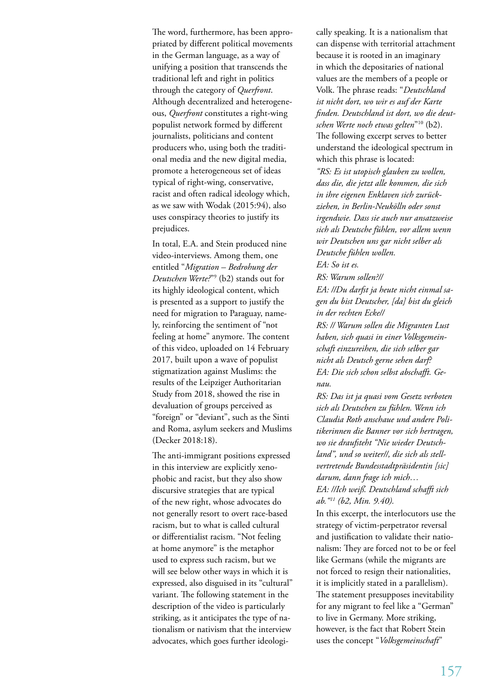The word, furthermore, has been appropriated by different political movements in the German language, as a way of unifying a position that transcends the traditional left and right in politics through the category of *Querfront*. Although decentralized and heterogeneous, *Querfront* constitutes a right-wing populist network formed by different journalists, politicians and content producers who, using both the traditional media and the new digital media, promote a heterogeneous set of ideas typical of right-wing, conservative, racist and often radical ideology which, as we saw with Wodak (2015:94), also uses conspiracy theories to justify its prejudices.

In total, E.A. and Stein produced nine video-interviews. Among them, one entitled "*Migration – Bedrohung der Deutschen Werte?*"9 (b2) stands out for its highly ideological content, which is presented as a support to justify the need for migration to Paraguay, namely, reinforcing the sentiment of "not feeling at home" anymore. The content of this video, uploaded on 14 February 2017, built upon a wave of populist stigmatization against Muslims: the results of the Leipziger Authoritarian Study from 2018, showed the rise in devaluation of groups perceived as "foreign" or "deviant", such as the Sinti and Roma, asylum seekers and Muslims (Decker 2018:18).

The anti-immigrant positions expressed in this interview are explicitly xenophobic and racist, but they also show discursive strategies that are typical of the new right, whose advocates do not generally resort to overt race-based racism, but to what is called cultural or differentialist racism. "Not feeling at home anymore" is the metaphor used to express such racism, but we will see below other ways in which it is expressed, also disguised in its "cultural" variant. The following statement in the description of the video is particularly striking, as it anticipates the type of nationalism or nativism that the interview advocates, which goes further ideologi-

cally speaking. It is a nationalism that can dispense with territorial attachment because it is rooted in an imaginary in which the depositaries of national values are the members of a people or Volk. The phrase reads: "*Deutschland ist nicht dort, wo wir es auf der Karte finden. Deutschland ist dort, wo die deutschen Werte noch etwas gelten*"10 (b2). The following excerpt serves to better understand the ideological spectrum in which this phrase is located: *"RS: Es ist utopisch glauben zu wollen, dass die, die jetzt alle kommen, die sich in ihre eigenen Enklaven sich zurückziehen, in Berlin-Neukölln oder sonst irgendwie. Dass sie auch nur ansatzweise sich als Deutsche fühlen, vor allem wenn wir Deutschen uns gar nicht selber als Deutsche fühlen wollen. EA: So ist es. RS: Warum sollen?// EA: //Du darfst ja heute nicht einmal sagen du bist Deutscher, [da] bist du gleich in der rechten Ecke// RS: // Warum sollen die Migranten Lust haben, sich quasi in einer Volksgemeinschaft einzureihen, die sich selber gar nicht als Deutsch gerne sehen darf? EA: Die sich schon selbst abschafft. Genau. RS: Das ist ja quasi vom Gesetz verboten* 

*sich als Deutschen zu fühlen. Wenn ich Claudia Roth anschaue und andere Politikerinnen die Banner vor sich hertragen, wo sie draufsteht "Nie wieder Deutschland", und so weiter//, die sich als stellvertretende Bundesstadtpräsidentin [sic] darum, dann frage ich mich… EA: //Ich weiß. Deutschland schafft sich ab."11 (b2, Min. 9.40).* 

In this excerpt, the interlocutors use the strategy of victim-perpetrator reversal and justification to validate their nationalism: They are forced not to be or feel like Germans (while the migrants are not forced to resign their nationalities, it is implicitly stated in a parallelism). The statement presupposes inevitability for any migrant to feel like a "German" to live in Germany. More striking, however, is the fact that Robert Stein uses the concept "*Volksgemeinschaft*"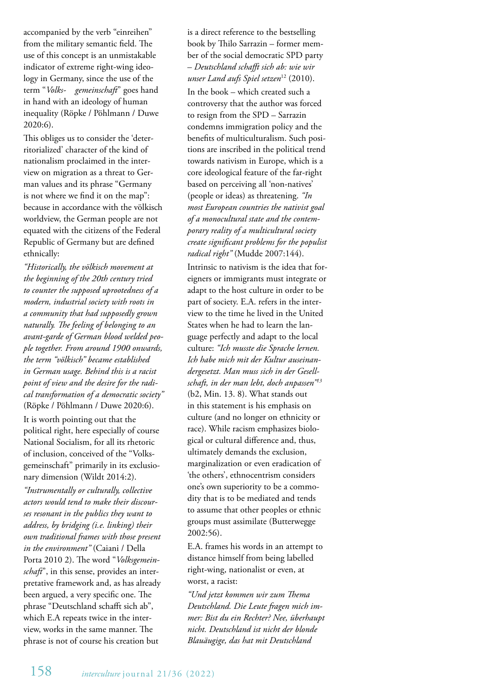accompanied by the verb "einreihen" from the military semantic field. The use of this concept is an unmistakable indicator of extreme right-wing ideology in Germany, since the use of the term "*Volks- gemeinschaft*" goes hand in hand with an ideology of human inequality (Röpke / Pöhlmann / Duwe 2020:6).

This obliges us to consider the 'deterritorialized' character of the kind of nationalism proclaimed in the interview on migration as a threat to German values and its phrase "Germany is not where we find it on the map": because in accordance with the völkisch worldview, the German people are not equated with the citizens of the Federal Republic of Germany but are defined ethnically:

*"Historically, the völkisch movement at the beginning of the 20th century tried to counter the supposed uprootedness of a modern, industrial society with roots in a community that had supposedly grown naturally. The feeling of belonging to an avant-garde of German blood welded people together. From around 1900 onwards, the term "völkisch" became established in German usage. Behind this is a racist point of view and the desire for the radical transformation of a democratic society"*  (Röpke / Pöhlmann / Duwe 2020:6).

It is worth pointing out that the political right, here especially of course National Socialism, for all its rhetoric of inclusion, conceived of the "Volksgemeinschaft" primarily in its exclusionary dimension (Wildt 2014:2).

*"Instrumentally or culturally, collective actors would tend to make their discourses resonant in the publics they want to address, by bridging (i.e. linking) their own traditional frames with those present in the environment"* (Caiani / Della Porta 2010 2). The word "*Volksgemeinschaft*", in this sense, provides an interpretative framework and, as has already been argued, a very specific one. The phrase "Deutschland schafft sich ab", which E.A repeats twice in the interview, works in the same manner. The phrase is not of course his creation but

is a direct reference to the bestselling book by Thilo Sarrazin – former member of the social democratic SPD party – *Deutschland schafft sich ab: wie wir unser Land aufs Spiel setzen*12 (2010).

In the book – which created such a controversy that the author was forced to resign from the SPD – Sarrazin condemns immigration policy and the benefits of multiculturalism. Such positions are inscribed in the political trend towards nativism in Europe, which is a core ideological feature of the far-right based on perceiving all 'non-natives' (people or ideas) as threatening. *"In most European countries the nativist goal of a monocultural state and the contemporary reality of a multicultural society create significant problems for the populist radical right"* (Mudde 2007:144).

Intrinsic to nativism is the idea that foreigners or immigrants must integrate or adapt to the host culture in order to be part of society. E.A. refers in the interview to the time he lived in the United States when he had to learn the language perfectly and adapt to the local culture: *"Ich musste die Sprache lernen. Ich habe mich mit der Kultur auseinandergesetzt. Man muss sich in der Gesellschaft, in der man lebt, doch anpassen"13* (b2, Min. 13. 8). What stands out in this statement is his emphasis on culture (and no longer on ethnicity or race). While racism emphasizes biological or cultural difference and, thus, ultimately demands the exclusion, marginalization or even eradication of 'the others', ethnocentrism considers one's own superiority to be a commodity that is to be mediated and tends to assume that other peoples or ethnic groups must assimilate (Butterwegge 2002:56).

E.A. frames his words in an attempt to distance himself from being labelled right-wing, nationalist or even, at worst, a racist:

*"Und jetzt kommen wir zum Thema Deutschland. Die Leute fragen mich immer: Bist du ein Rechter? Nee, überhaupt nicht. Deutschland ist nicht der blonde Blauäugige, das hat mit Deutschland*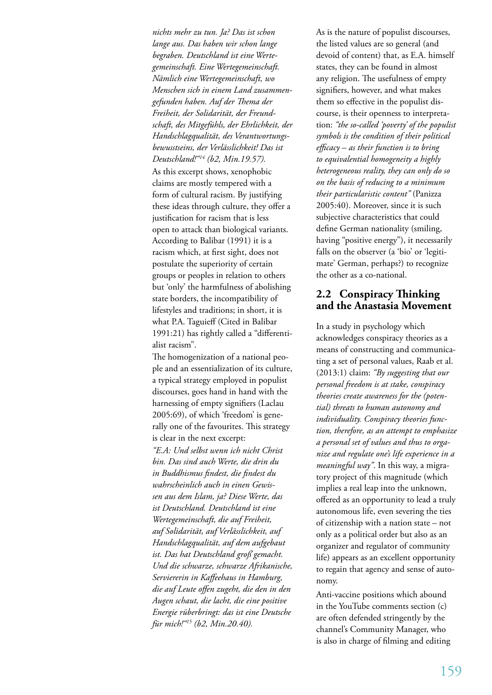*nichts mehr zu tun. Ja? Das ist schon lange aus. Das haben wir schon lange begraben. Deutschland ist eine Wertegemeinschaft. Eine Wertegemeinschaft. Nämlich eine Wertegemeinschaft, wo Menschen sich in einem Land zusammengefunden haben. Auf der Thema der Freiheit, der Solidarität, der Freundschaft, des Mitgefühls, der Ehrlichkeit, der Handschlagqualität, des Verantwortungsbewusstseins, der Verlässlichkeit! Das ist Deutschland!"14 (b2, Min.19.57).* As this excerpt shows, xenophobic claims are mostly tempered with a form of cultural racism. By justifying these ideas through culture, they offer a justification for racism that is less open to attack than biological variants. According to Balibar (1991) it is a racism which, at first sight, does not postulate the superiority of certain groups or peoples in relation to others but 'only' the harmfulness of abolishing state borders, the incompatibility of lifestyles and traditions; in short, it is what P.A. Taguieff (Cited in Balibar 1991:21) has rightly called a "differentialist racism".

The homogenization of a national people and an essentialization of its culture, a typical strategy employed in populist discourses, goes hand in hand with the harnessing of empty signifiers (Laclau 2005:69), of which 'freedom' is generally one of the favourites. This strategy is clear in the next excerpt:

*"E.A: Und selbst wenn ich nicht Christ bin. Das sind auch Werte, die drin du in Buddhismus findest, die findest du wahrscheinlich auch in einen Gewissen aus dem Islam, ja? Diese Werte, das ist Deutschland. Deutschland ist eine Wertegemeinschaft, die auf Freiheit, auf Solidarität, auf Verlässlichkeit, auf Handschlagqualität, auf dem aufgebaut ist. Das hat Deutschland groß gemacht. Und die schwarze, schwarze Afrikanische, Serviererin in Kaffeehaus in Hamburg, die auf Leute offen zugeht, die den in den Augen schaut, die lacht, die eine positive Energie rüberbringt: das ist eine Deutsche für mich!"15 (b2, Min.20.40).*

As is the nature of populist discourses, the listed values are so general (and devoid of content) that, as E.A. himself states, they can be found in almost any religion. The usefulness of empty signifiers, however, and what makes them so effective in the populist discourse, is their openness to interpretation: *"the so-called 'poverty' of the populist symbols is the condition of their political efficacy – as their function is to bring to equivalential homogeneity a highly heterogeneous reality, they can only do so on the basis of reducing to a minimum their particularistic content"* (Panizza 2005:40). Moreover, since it is such subjective characteristics that could define German nationality (smiling, having "positive energy"), it necessarily falls on the observer (a 'bio' or 'legitimate' German, perhaps?) to recognize the other as a co-national.

## **2.2 Conspiracy Thinking and the Anastasia Movement**

In a study in psychology which acknowledges conspiracy theories as a means of constructing and communicating a set of personal values, Raab et al. (2013:1) claim: *"By suggesting that our personal freedom is at stake, conspiracy theories create awareness for the (potential) threats to human autonomy and individuality. Conspiracy theories function, therefore, as an attempt to emphasize a personal set of values and thus to organize and regulate one's life experience in a meaningful way"*. In this way, a migratory project of this magnitude (which implies a real leap into the unknown, offered as an opportunity to lead a truly autonomous life, even severing the ties of citizenship with a nation state – not only as a political order but also as an organizer and regulator of community life) appears as an excellent opportunity to regain that agency and sense of autonomy.

Anti-vaccine positions which abound in the YouTube comments section (c) are often defended stringently by the channel's Community Manager, who is also in charge of filming and editing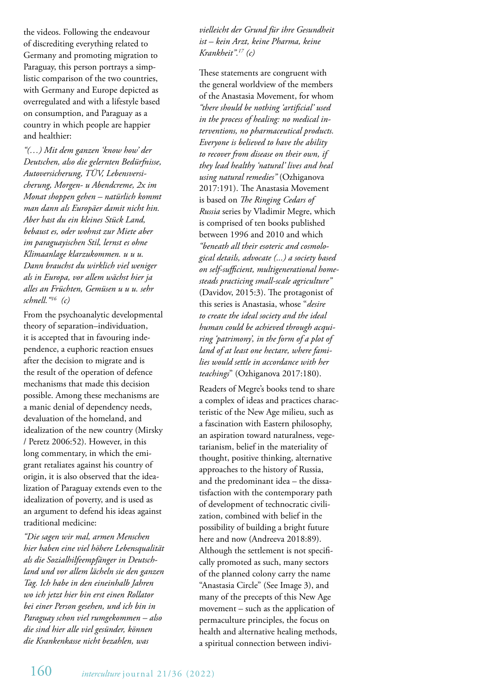the videos. Following the endeavour of discrediting everything related to Germany and promoting migration to Paraguay, this person portrays a simplistic comparison of the two countries, with Germany and Europe depicted as overregulated and with a lifestyle based on consumption, and Paraguay as a country in which people are happier and healthier:

*"(…) Mit dem ganzen 'know how' der Deutschen, also die gelernten Bedürfnisse, Autoversicherung, TÜV, Lebensversicherung, Morgen- u Abendcreme, 2x im Monat shoppen gehen – natürlich kommt man dann als Europäer damit nicht hin. Aber hast du ein kleines Stück Land, bebaust es, oder wohnst zur Miete aber im paraguayischen Stil, lernst es ohne Klimaanlage klarzukommen. u u u. Dann brauchst du wirklich viel weniger als in Europa, vor allem wächst hier ja alles an Früchten, Gemüsen u u u. sehr schnell."16 (c)*

From the psychoanalytic developmental theory of separation–individuation, it is accepted that in favouring independence, a euphoric reaction ensues after the decision to migrate and is the result of the operation of defence mechanisms that made this decision possible. Among these mechanisms are a manic denial of dependency needs, devaluation of the homeland, and idealization of the new country (Mirsky / Peretz 2006:52). However, in this long commentary, in which the emigrant retaliates against his country of origin, it is also observed that the idealization of Paraguay extends even to the idealization of poverty, and is used as an argument to defend his ideas against traditional medicine:

*"Die sagen wir mal, armen Menschen hier haben eine viel höhere Lebensqualität als die Sozialhilfeempfänger in Deutschland und vor allem lächeln sie den ganzen Tag. Ich habe in den eineinhalb Jahren wo ich jetzt hier bin erst einen Rollator bei einer Person gesehen, und ich bin in Paraguay schon viel rumgekommen – also die sind hier alle viel gesünder, können die Krankenkasse nicht bezahlen, was* 

*vielleicht der Grund für ihre Gesundheit ist – kein Arzt, keine Pharma, keine Krankheit".17 (c)* 

These statements are congruent with the general worldview of the members of the Anastasia Movement, for whom *"there should be nothing 'artificial' used in the process of healing: no medical interventions, no pharmaceutical products. Everyone is believed to have the ability to recover from disease on their own, if they lead healthy 'natural' lives and heal using natural remedies"* (Ozhiganova 2017:191). The Anastasia Movement is based on *The Ringing Cedars of Russia* series by Vladimir Megre, which is comprised of ten books published between 1996 and 2010 and which *"beneath all their esoteric and cosmological details, advocate (...) a society based on self-sufficient, multigenerational homesteads practicing small-scale agriculture"*  (Davidov, 2015:3). The protagonist of this series is Anastasia, whose "*desire to create the ideal society and the ideal human could be achieved through acquiring 'patrimony', in the form of a plot of land of at least one hectare, where families would settle in accordance with her teachings*" (Ozhiganova 2017:180).

Readers of Megre's books tend to share a complex of ideas and practices characteristic of the New Age milieu, such as a fascination with Eastern philosophy, an aspiration toward naturalness, vegetarianism, belief in the materiality of thought, positive thinking, alternative approaches to the history of Russia, and the predominant idea – the dissatisfaction with the contemporary path of development of technocratic civilization, combined with belief in the possibility of building a bright future here and now (Andreeva 2018:89). Although the settlement is not specifically promoted as such, many sectors of the planned colony carry the name "Anastasia Circle" (See Image 3), and many of the precepts of this New Age movement – such as the application of permaculture principles, the focus on health and alternative healing methods, a spiritual connection between indivi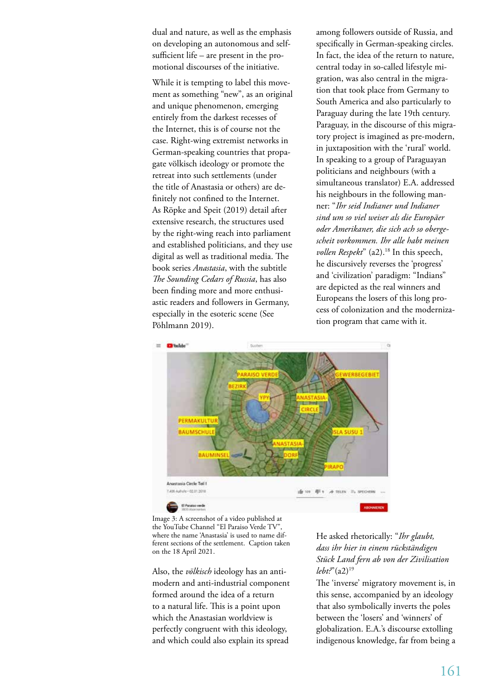dual and nature, as well as the emphasis on developing an autonomous and selfsufficient life – are present in the promotional discourses of the initiative.

While it is tempting to label this movement as something "new", as an original and unique phenomenon, emerging entirely from the darkest recesses of the Internet, this is of course not the case. Right-wing extremist networks in German-speaking countries that propagate völkisch ideology or promote the retreat into such settlements (under the title of Anastasia or others) are definitely not confined to the Internet. As Röpke and Speit (2019) detail after extensive research, the structures used by the right-wing reach into parliament and established politicians, and they use digital as well as traditional media. The book series *Anastasia*, with the subtitle *The Sounding Cedars of Russia*, has also been finding more and more enthusiastic readers and followers in Germany, especially in the esoteric scene (See Pöhlmann 2019).

among followers outside of Russia, and specifically in German-speaking circles. In fact, the idea of the return to nature, central today in so-called lifestyle migration, was also central in the migration that took place from Germany to South America and also particularly to Paraguay during the late 19th century. Paraguay, in the discourse of this migratory project is imagined as pre-modern, in juxtaposition with the 'rural' world. In speaking to a group of Paraguayan politicians and neighbours (with a simultaneous translator) E.A. addressed his neighbours in the following manner: "*Ihr seid Indianer und Indianer sind um so viel weiser als die Europäer oder Amerikaner, die sich ach so obergescheit vorkommen. Ihr alle habt meinen vollen Respekt*" (a2).18 In this speech, he discursively reverses the 'progress' and 'civilization' paradigm: "Indians" are depicted as the real winners and Europeans the losers of this long process of colonization and the modernization program that came with it.



Image 3: A screenshot of a video published at the YouTube Channel "El Paraiso Verde TV", where the name 'Anastasia' is used to name different sections of the settlement. Caption taken on the 18 April 2021.

Also, the *völkisch* ideology has an antimodern and anti-industrial component formed around the idea of a return to a natural life. This is a point upon which the Anastasian worldview is perfectly congruent with this ideology, and which could also explain its spread

He asked rhetorically: "*Ihr glaubt, dass ihr hier in einem rückständigen Stück Land fern ab von der Zivilisation lebt?*"(a2)19

The 'inverse' migratory movement is, in this sense, accompanied by an ideology that also symbolically inverts the poles between the 'losers' and 'winners' of globalization. E.A.'s discourse extolling indigenous knowledge, far from being a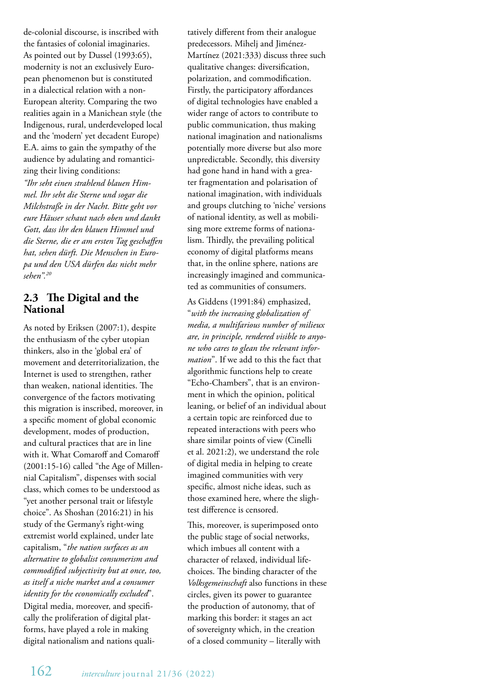de-colonial discourse, is inscribed with the fantasies of colonial imaginaries. As pointed out by Dussel (1993:65), modernity is not an exclusively European phenomenon but is constituted in a dialectical relation with a non-European alterity. Comparing the two realities again in a Manichean style (the Indigenous, rural, underdeveloped local and the 'modern' yet decadent Europe) E.A. aims to gain the sympathy of the audience by adulating and romanticizing their living conditions: *"Ihr seht einen strahlend blauen Him-*

*mel. Ihr seht die Sterne und sogar die Milchstraße in der Nacht. Bitte geht vor eure Häuser schaut nach oben und dankt Gott, dass ihr den blauen Himmel und die Sterne, die er am ersten Tag geschaffen hat, sehen dürft. Die Menschen in Europa und den USA dürfen das nicht mehr sehen".20*

## **2.3 The Digital and the National**

As noted by Eriksen (2007:1), despite the enthusiasm of the cyber utopian thinkers, also in the 'global era' of movement and deterritorialization, the Internet is used to strengthen, rather than weaken, national identities. The convergence of the factors motivating this migration is inscribed, moreover, in a specific moment of global economic development, modes of production, and cultural practices that are in line with it. What Comaroff and Comaroff (2001:15-16) called "the Age of Millennial Capitalism", dispenses with social class, which comes to be understood as "yet another personal trait or lifestyle choice". As Shoshan (2016:21) in his study of the Germany's right-wing extremist world explained, under late capitalism, "*the nation surfaces as an alternative to globalist consumerism and commodified subjectivity but at once, too, as itself a niche market and a consumer identity for the economically excluded*". Digital media, moreover, and specifically the proliferation of digital platforms, have played a role in making digital nationalism and nations qualitatively different from their analogue predecessors. Mihelj and Jiménez-Martínez (2021:333) discuss three such qualitative changes: diversification, polarization, and commodification. Firstly, the participatory affordances of digital technologies have enabled a wider range of actors to contribute to public communication, thus making national imagination and nationalisms potentially more diverse but also more unpredictable. Secondly, this diversity had gone hand in hand with a greater fragmentation and polarisation of national imagination, with individuals and groups clutching to 'niche' versions of national identity, as well as mobilising more extreme forms of nationalism. Thirdly, the prevailing political economy of digital platforms means that, in the online sphere, nations are increasingly imagined and communicated as communities of consumers.

As Giddens (1991:84) emphasized, "*with the increasing globalization of media, a multifarious number of milieux are, in principle, rendered visible to anyone who cares to glean the relevant information*". If we add to this the fact that algorithmic functions help to create "Echo-Chambers", that is an environment in which the opinion, political leaning, or belief of an individual about a certain topic are reinforced due to repeated interactions with peers who share similar points of view (Cinelli et al. 2021:2), we understand the role of digital media in helping to create imagined communities with very specific, almost niche ideas, such as those examined here, where the slightest difference is censored.

This, moreover, is superimposed onto the public stage of social networks, which imbues all content with a character of relaxed, individual lifechoices. The binding character of the *Volksgemeinschaft* also functions in these circles, given its power to guarantee the production of autonomy, that of marking this border: it stages an act of sovereignty which, in the creation of a closed community – literally with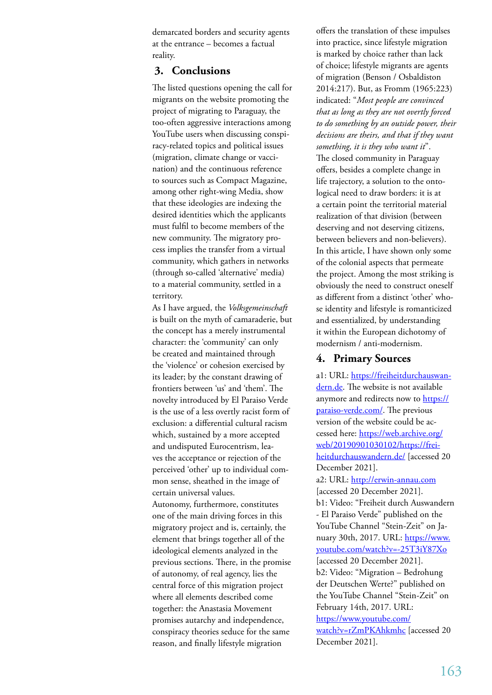demarcated borders and security agents at the entrance – becomes a factual reality.

## **3. Conclusions**

The listed questions opening the call for migrants on the website promoting the project of migrating to Paraguay, the too-often aggressive interactions among YouTube users when discussing conspiracy-related topics and political issues (migration, climate change or vaccination) and the continuous reference to sources such as Compact Magazine, among other right-wing Media, show that these ideologies are indexing the desired identities which the applicants must fulfil to become members of the new community. The migratory process implies the transfer from a virtual community, which gathers in networks (through so-called 'alternative' media) to a material community, settled in a territory.

As I have argued, the *Volksgemeinschaft* is built on the myth of camaraderie, but the concept has a merely instrumental character: the 'community' can only be created and maintained through the 'violence' or cohesion exercised by its leader; by the constant drawing of frontiers between 'us' and 'them'. The novelty introduced by El Paraiso Verde is the use of a less overtly racist form of exclusion: a differential cultural racism which, sustained by a more accepted and undisputed Eurocentrism, leaves the acceptance or rejection of the perceived 'other' up to individual common sense, sheathed in the image of certain universal values.

Autonomy, furthermore, constitutes one of the main driving forces in this migratory project and is, certainly, the element that brings together all of the ideological elements analyzed in the previous sections. There, in the promise of autonomy, of real agency, lies the central force of this migration project where all elements described come together: the Anastasia Movement promises autarchy and independence, conspiracy theories seduce for the same reason, and finally lifestyle migration

offers the translation of these impulses into practice, since lifestyle migration is marked by choice rather than lack of choice; lifestyle migrants are agents of migration (Benson / Osbaldiston 2014:217). But, as Fromm (1965:223) indicated: "*Most people are convinced that as long as they are not overtly forced to do something by an outside power, their decisions are theirs, and that if they want something, it is they who want it*". The closed community in Paraguay offers, besides a complete change in life trajectory, a solution to the ontological need to draw borders: it is at a certain point the territorial material realization of that division (between deserving and not deserving citizens, between believers and non-believers). In this article, I have shown only some of the colonial aspects that permeate the project. Among the most striking is obviously the need to construct oneself as different from a distinct 'other' whose identity and lifestyle is romanticized and essentialized, by understanding it within the European dichotomy of modernism / anti-modernism.

### **4. Primary Sources**

a1: URL: https://freiheitdurchauswandern.de. The website is not available anymore and redirects now to https:// paraiso-verde.com/. The previous version of the website could be accessed here: https://web.archive.org/ web/20190901030102/https://freiheitdurchauswandern.de/ [accessed 20 December 2021]. a2: URL: http://erwin-annau.com [accessed 20 December 2021]. b1: Video: "Freiheit durch Auswandern - El Paraiso Verde" published on the YouTube Channel "Stein-Zeit" on January 30th, 2017. URL: https://www. youtube.com/watch?v=-25T3iY87Xo [accessed 20 December 2021]. b2: Video: "Migration – Bedrohung der Deutschen Werte?" published on the YouTube Channel "Stein-Zeit" on February 14th, 2017. URL: https://www.youtube.com/ watch?v=rZmPKAhkmhc [accessed 20 December 2021].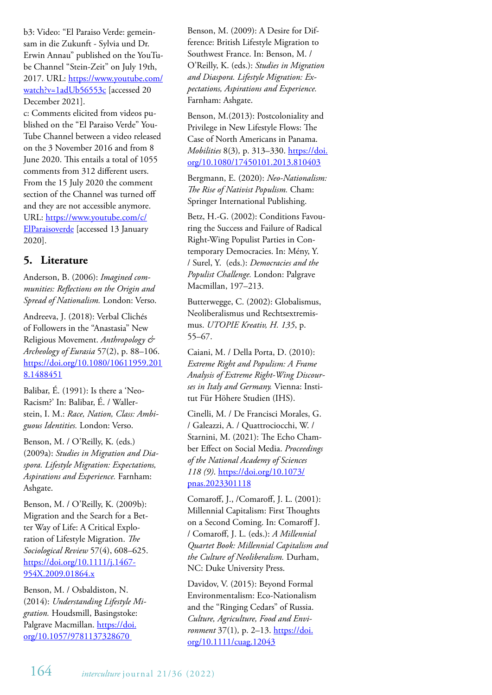b3: Video: "El Paraiso Verde: gemeinsam in die Zukunft - Sylvia und Dr. Erwin Annau" published on the YouTube Channel "Stein-Zeit" on July 19th, 2017. URL: https://www.youtube.com/ watch?v=1adUb56553c [accessed 20 December 2021].

c: Comments elicited from videos published on the "El Paraiso Verde" You-Tube Channel between a video released on the 3 November 2016 and from 8 June 2020. This entails a total of 1055 comments from 312 different users. From the 15 July 2020 the comment section of the Channel was turned off and they are not accessible anymore. URL: https://www.youtube.com/c/ ElParaisoverde [accessed 13 January 2020].

## **5. Literature**

Anderson, B. (2006): *Imagined communities: Reflections on the Origin and Spread of Nationalism.* London: Verso.

Andreeva, J. (2018): Verbal Clichés of Followers in the "Anastasia" New Religious Movement. *Anthropology & Archeology of Eurasia* 57(2), p. 88–106. https://doi.org/10.1080/10611959.201 8.1488451

Balibar, É. (1991): Is there a 'Neo-Racism?' In: Balibar, É. / Wallerstein, I. M.: *Race, Nation, Class: Ambiguous Identities.* London: Verso.

Benson, M. / O'Reilly, K. (eds.) (2009a): *Studies in Migration and Diaspora. Lifestyle Migration: Expectations, Aspirations and Experience.* Farnham: Ashgate.

Benson, M. / O'Reilly, K. (2009b): Migration and the Search for a Better Way of Life: A Critical Exploration of Lifestyle Migration. *The Sociological Review* 57(4), 608–625. https://doi.org/10.1111/j.1467- 954X.2009.01864.x

Benson, M. / Osbaldiston, N. (2014): *Understanding Lifestyle Migration.* Houdsmill, Basingstoke: Palgrave Macmillan. https://doi. org/10.1057/9781137328670

Benson, M. (2009): A Desire for Difference: British Lifestyle Migration to Southwest France. In: Benson, M. / O'Reilly, K. (eds.): *Studies in Migration and Diaspora. Lifestyle Migration: Expectations, Aspirations and Experience.*  Farnham: Ashgate.

Benson, M.(2013): Postcoloniality and Privilege in New Lifestyle Flows: The Case of North Americans in Panama. *Mobilities* 8(3)*,* p. 313–330. https://doi. org/10.1080/17450101.2013.810403

Bergmann, E. (2020): *Neo-Nationalism: The Rise of Nativist Populism.* Cham: Springer International Publishing.

Betz, H.-G. (2002): Conditions Favouring the Success and Failure of Radical Right-Wing Populist Parties in Contemporary Democracies. In: Mény, Y. / Surel, Y. (eds.): *Democracies and the Populist Challenge.* London: Palgrave Macmillan, 197–213.

Butterwegge, C. (2002): Globalismus, Neoliberalismus und Rechtsextremismus. *UTOPIE Kreativ, H. 135*, p. 55–67.

Caiani, M. / Della Porta, D. (2010): *Extreme Right and Populism: A Frame Analysis of Extreme Right-Wing Discourses in Italy and Germany.* Vienna: Institut Für Höhere Studien (IHS).

Cinelli, M. / De Francisci Morales, G. / Galeazzi, A. / Quattrociocchi, W. / Starnini, M. (2021): The Echo Chamber Effect on Social Media. *Proceedings of the National Academy of Sciences 118 (9)*. https://doi.org/10.1073/ pnas.2023301118

Comaroff, J., /Comaroff, J. L. (2001): Millennial Capitalism: First Thoughts on a Second Coming. In: Comaroff J. / Comaroff, J. L. (eds.): *A Millennial Quartet Book: Millennial Capitalism and the Culture of Neoliberalism.* Durham, NC: Duke University Press.

Davidov, V. (2015): Beyond Formal Environmentalism: Eco-Nationalism and the "Ringing Cedars" of Russia. *Culture, Agriculture, Food and Environment* 37(1), p. 2–13. https://doi. org/10.1111/cuag.12043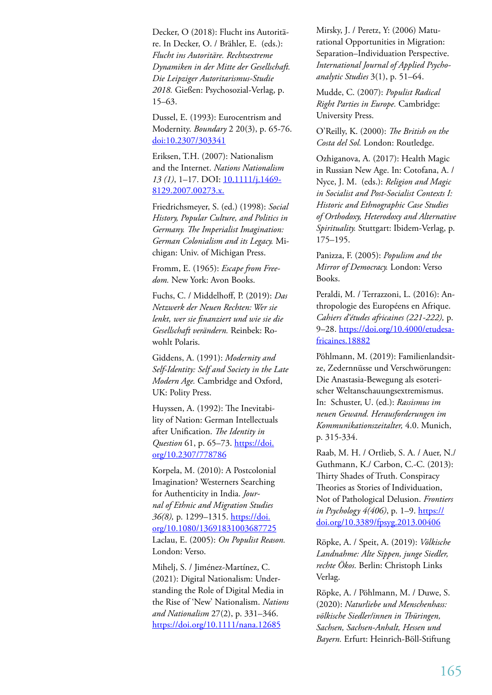Decker, O (2018): Flucht ins Autoritäre. In Decker, O. / Brähler, E. (eds.): *Flucht ins Autoritäre. Rechtsextreme Dynamiken in der Mitte der Gesellschaft. Die Leipziger Autoritarismus-Studie 2018.* Gießen: Psychosozial-Verlag, p. 15–63.

Dussel, E. (1993): Eurocentrism and Modernity. *Boundary* 2 20(3), p. 65-76. doi:10.2307/303341

Eriksen, T.H. (2007): Nationalism and the Internet. *Nations Nationalism 13 (1)*, 1–17. DOI: 10.1111/j.1469- 8129.2007.00273.x.

Friedrichsmeyer, S. (ed.) (1998): *Social History, Popular Culture, and Politics in Germany. The Imperialist Imagination: German Colonialism and its Legacy.* Michigan: Univ. of Michigan Press.

Fromm, E. (1965): *Escape from Freedom.* New York: Avon Books.

Fuchs, C. / Middelhoff, P. (2019): *Das Netzwerk der Neuen Rechten: Wer sie lenkt, wer sie finanziert und wie sie die Gesellschaft verändern.* Reinbek: Rowohlt Polaris.

Giddens, A. (1991): *Modernity and Self-Identity: Self and Society in the Late Modern Age.* Cambridge and Oxford, UK: Polity Press.

Huyssen, A. (1992): The Inevitability of Nation: German Intellectuals after Unification. *The Identity in Question* 61, p. 65–73. https://doi. org/10.2307/778786

Korpela, M. (2010): A Postcolonial Imagination? Westerners Searching for Authenticity in India. *Journal of Ethnic and Migration Studies 36(8),* p. 1299–1315. https://doi. org/10.1080/13691831003687725 Laclau, E. (2005): *On Populist Reason.*  London: Verso.

Mihelj, S. / Jiménez-Martínez, C. (2021): Digital Nationalism: Understanding the Role of Digital Media in the Rise of 'New' Nationalism. *Nations and Nationalism* 27(2), p. 331–346. https://doi.org/10.1111/nana.12685

Mirsky, J. / Peretz, Y: (2006) Maturational Opportunities in Migration: Separation–Individuation Perspective. *International Journal of Applied Psychoanalytic Studies* 3(1), p. 51–64.

Mudde, C. (2007): *Populist Radical Right Parties in Europe.* Cambridge: University Press.

O'Reilly, K. (2000): *The British on the Costa del Sol.* London: Routledge.

Ozhiganova, A. (2017): Health Magic in Russian New Age. In: Cotofana, A. / Nyce, J. M. (eds.): *Religion and Magic in Socialist and Post-Socialist Contexts I: Historic and Ethnographic Case Studies of Orthodoxy, Heterodoxy and Alternative Spirituality.* Stuttgart: Ibidem-Verlag, p. 175–195.

Panizza, F. (2005): *Populism and the Mirror of Democracy.* London: Verso Books.

Peraldi, M. / Terrazzoni, L. (2016): Anthropologie des Européens en Afrique. *Cahiers d'études africaines (221-222),* p. 9-28. https://doi.org/10.4000/etudesafricaines.18882

Pöhlmann, M. (2019): Familienlandsitze, Zedernnüsse und Verschwörungen: Die Anastasia-Bewegung als esoterischer Weltanschauungsextremismus. In: Schuster, U. (ed.): *Rassismus im neuen Gewand. Herausforderungen im Kommunikationszeitalter,* 4.0. Munich, p. 315-334.

Raab, M. H. / Ortlieb, S. A. / Auer, N./ Guthmann, K./ Carbon, C.-C. (2013): Thirty Shades of Truth. Conspiracy Theories as Stories of Individuation, Not of Pathological Delusion. *Frontiers in Psychology 4(406)*, p. 1–9. https:// doi.org/10.3389/fpsyg.2013.00406

Röpke, A. / Speit, A. (2019): *Völkische Landnahme: Alte Sippen, junge Siedler, rechte Ökos.* Berlin: Christoph Links Verlag.

Röpke, A. / Pöhlmann, M. / Duwe, S. (2020): *Naturliebe und Menschenhass: völkische Siedler/innen in Thüringen, Sachsen, Sachsen-Anhalt, Hessen und Bayern.* Erfurt: Heinrich-Böll-Stiftung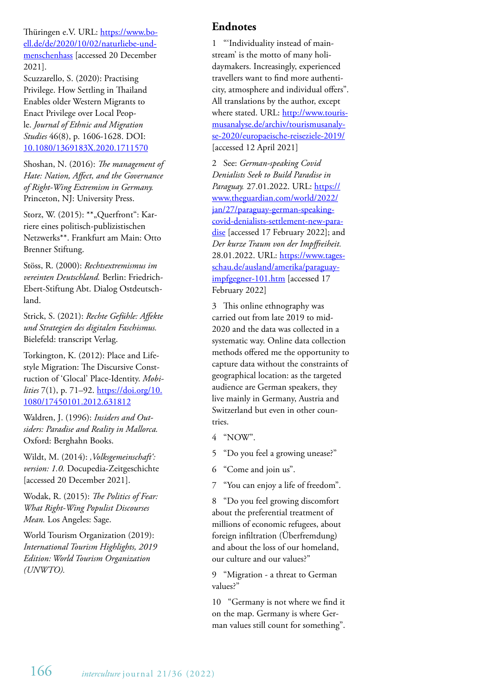Thüringen e.V. URL: https://www.boell.de/de/2020/10/02/naturliebe-undmenschenhass [accessed 20 December 2021].

Scuzzarello, S. (2020): Practising Privilege. How Settling in Thailand Enables older Western Migrants to Enact Privilege over Local People. *Journal of Ethnic and Migration Studies* 46(8), p. 1606-1628. DOI: 10.1080/1369183X.2020.1711570

Shoshan, N. (2016): *The management of Hate: Nation, Affect, and the Governance of Right-Wing Extremism in Germany.*  Princeton, NJ: University Press.

Storz, W. (2015): \*\*, Querfront": Karriere eines politisch-publizistischen Netzwerks\*\*. Frankfurt am Main: Otto Brenner Stiftung.

Stöss, R. (2000): *Rechtsextremismus im vereinten Deutschland.* Berlin: Friedrich-Ebert-Stiftung Abt. Dialog Ostdeutschland.

Strick, S. (2021): *Rechte Gefühle: Affekte und Strategien des digitalen Faschismus.*  Bielefeld: transcript Verlag.

Torkington, K. (2012): Place and Lifestyle Migration: The Discursive Construction of 'Glocal' Place-Identity. *Mobilities* 7(1), p. 71–92. https://doi.org/10. 1080/17450101.2012.631812

Waldren, J. (1996): *Insiders and Outsiders: Paradise and Reality in Mallorca.*  Oxford: Berghahn Books.

Wildt, M. (2014): *'Volksgemeinschaft': version: 1.0.* Docupedia-Zeitgeschichte [accessed 20 December 2021].

Wodak, R. (2015): *The Politics of Fear: What Right-Wing Populist Discourses Mean.* Los Angeles: Sage.

World Tourism Organization (2019): *International Tourism Highlights, 2019 Edition: World Tourism Organization (UNWTO).*

# **Endnotes**

1 "'Individuality instead of mainstream' is the motto of many holidaymakers. Increasingly, experienced travellers want to find more authenticity, atmosphere and individual offers". All translations by the author, except where stated. URL: http://www.tourismusanalyse.de/archiv/tourismusanalyse-2020/europaeische-reiseziele-2019/ [accessed 12 April 2021]

2 See: *German-speaking Covid Denialists Seek to Build Paradise in Paraguay.* 27.01.2022. URL: https:// www.theguardian.com/world/2022/ jan/27/paraguay-german-speakingcovid-denialists-settlement-new-paradise [accessed 17 February 2022]; and *Der kurze Traum von der Impffreiheit.* 28.01.2022. URL: https://www.tagesschau.de/ausland/amerika/paraguayimpfgegner-101.htm [accessed 17 February 2022]

3 This online ethnography was carried out from late 2019 to mid-2020 and the data was collected in a systematic way. Online data collection methods offered me the opportunity to capture data without the constraints of geographical location: as the targeted audience are German speakers, they live mainly in Germany, Austria and Switzerland but even in other countries.

4 "NOW".

5 "Do you feel a growing unease?"

6 "Come and join us".

7 "You can enjoy a life of freedom".

8 "Do you feel growing discomfort about the preferential treatment of millions of economic refugees, about foreign infiltration (Überfremdung) and about the loss of our homeland, our culture and our values?"

9 "Migration - a threat to German values?"

10 "Germany is not where we find it on the map. Germany is where German values still count for something".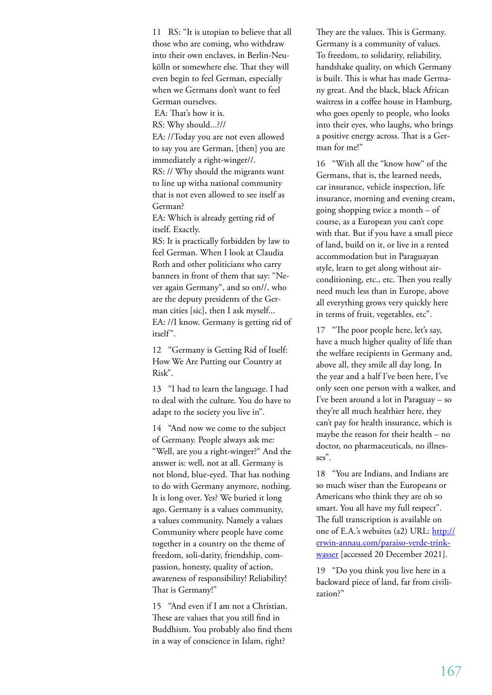11 RS: "It is utopian to believe that all those who are coming, who withdraw into their own enclaves, in Berlin-Neukölln or somewhere else. That they will even begin to feel German, especially when we Germans don't want to feel German ourselves.

EA: That's how it is.

RS: Why should...?//

EA: //Today you are not even allowed to say you are German, [then] you are immediately a right-winger//.

RS: // Why should the migrants want to line up witha national community that is not even allowed to see itself as German?

EA: Which is already getting rid of itself. Exactly.

RS: It is practically forbidden by law to feel German. When I look at Claudia Roth and other politicians who carry banners in front of them that say: "Never again Germany", and so on//, who are the deputy presidents of the German cities [sic], then I ask myself... EA: //I know. Germany is getting rid of itself".

12 "Germany is Getting Rid of Itself: How We Are Putting our Country at Risk".

13 "I had to learn the language. I had to deal with the culture. You do have to adapt to the society you live in".

14 "And now we come to the subject of Germany. People always ask me: "Well, are you a right-winger?" And the answer is: well, not at all. Germany is not blond, blue-eyed. That has nothing to do with Germany anymore, nothing. It is long over. Yes? We buried it long ago. Germany is a values community, a values community. Namely a values Community where people have come together in a country on the theme of freedom, soli-darity, friendship, compassion, honesty, quality of action, awareness of responsibility! Reliability! That is Germany!"

15 "And even if I am not a Christian. These are values that you still find in Buddhism. You probably also find them in a way of conscience in Islam, right?

They are the values. This is Germany. Germany is a community of values. To freedom, to solidarity, reliability, handshake quality, on which Germany is built. This is what has made Germany great. And the black, black African waitress in a coffee house in Hamburg, who goes openly to people, who looks into their eyes, who laughs, who brings a positive energy across. That is a German for me!"

16 "With all the "know how" of the Germans, that is, the learned needs, car insurance, vehicle inspection, life insurance, morning and evening cream, going shopping twice a month – of course, as a European you can't cope with that. But if you have a small piece of land, build on it, or live in a rented accommodation but in Paraguayan style, learn to get along without airconditioning, etc., etc. Then you really need much less than in Europe, above all everything grows very quickly here in terms of fruit, vegetables, etc".

17 "The poor people here, let's say, have a much higher quality of life than the welfare recipients in Germany and, above all, they smile all day long. In the year and a half I've been here, I've only seen one person with a walker, and I've been around a lot in Paraguay – so they're all much healthier here, they can't pay for health insurance, which is maybe the reason for their health – no doctor, no pharmaceuticals, no illnesses".

18 "You are Indians, and Indians are so much wiser than the Europeans or Americans who think they are oh so smart. You all have my full respect". The full transcription is available on one of E.A.'s websites (a2) URL: http:// erwin-annau.com/paraiso-verde-trinkwasser [accessed 20 December 2021].

19 "Do you think you live here in a backward piece of land, far from civilization?"